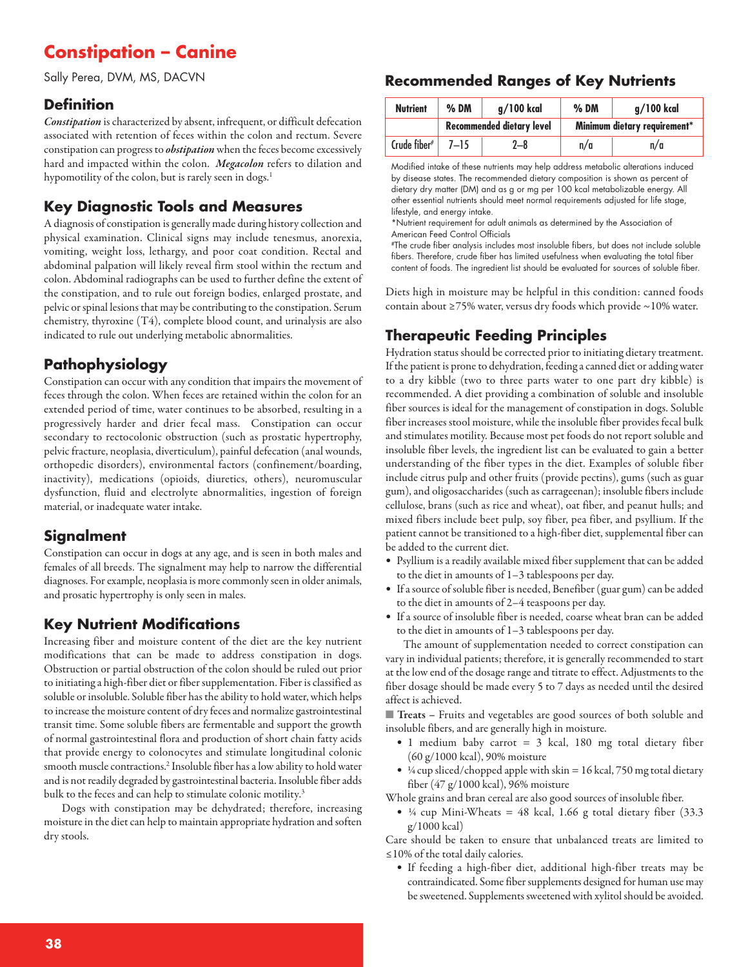## **Constipation – Canine**

Sally Perea, DVM, MS, DACVN

## **Definition**

*Constipation* is characterized by absent, infrequent, or difficult defecation associated with retention of feces within the colon and rectum. Severe constipation can progress to *obstipation* when the feces become excessively hard and impacted within the colon. *Megacolon* refers to dilation and hypomotility of the colon, but is rarely seen in dogs. 1

## **Key Diagnostic Tools and Measures**

A diagnosis of constipation is generally made during history collection and physical examination. Clinical signs may include tenesmus, anorexia, vomiting, weight loss, lethargy, and poor coat condition. Rectal and abdominal palpation will likely reveal firm stool within the rectum and colon. Abdominal radiographs can be used to further define the extent of the constipation, and to rule out foreign bodies, enlarged prostate, and pelvic or spinal lesions that may be contributing to the constipation. Serum chemistry, thyroxine (T4), complete blood count, and urinalysis are also indicated to rule out underlying metabolic abnormalities.

## **Pathophysiology**

Constipation can occur with any condition that impairs the movement of feces through the colon. When feces are retained within the colon for an extended period of time, water continues to be absorbed, resulting in a progressively harder and drier fecal mass. Constipation can occur secondary to rectocolonic obstruction (such as prostatic hypertrophy, pelvic fracture, neoplasia, diverticulum), painful defecation (anal wounds, orthopedic disorders), environmental factors (confinement/boarding, inactivity), medications (opioids, diuretics, others), neuromuscular dysfunction, fluid and electrolyte abnormalities, ingestion of foreign material, or inadequate water intake.

## **Signalment**

Constipation can occur in dogs at any age, and is seen in both males and females of all breeds. The signalment may help to narrow the differential diagnoses. For example, neoplasia is more commonly seen in older animals, and prosatic hypertrophy is only seen in males.

## **Key Nutrient Modifications**

Increasing fiber and moisture content of the diet are the key nutrient modifications that can be made to address constipation in dogs. Obstruction or partial obstruction of the colon should be ruled out prior to initiating a high-fiber diet or fiber supplementation. Fiber is classified as soluble or insoluble. Soluble fiber has the ability to hold water, which helps to increase the moisture content of dry feces and normalize gastrointestinal transit time. Some soluble fibers are fermentable and support the growth of normal gastrointestinal flora and production of short chain fatty acids that provide energy to colonocytes and stimulate longitudinal colonic smooth muscle contractions.<sup>2</sup> Insoluble fiber has a low ability to hold water and is not readily degraded by gastrointestinal bacteria. Insoluble fiber adds bulk to the feces and can help to stimulate colonic motility.<sup>3</sup>

Dogs with constipation may be dehydrated; therefore, increasing moisture in the diet can help to maintain appropriate hydration and soften dry stools.

## **Recommended Ranges of Key Nutrients**

| <b>Nutrient</b> | $%$ DM                    | $q/100$ kcal | $%$ DM                       | $q/100$ kcal |
|-----------------|---------------------------|--------------|------------------------------|--------------|
|                 | Recommended dietary level |              | Minimum dietary requirement* |              |
| Crude fiber#    | $7 - 15$                  | $2 - 8$      | n/a                          | n/a          |

Modified intake of these nutrients may help address metabolic alterations induced by disease states. The recommended dietary composition is shown as percent of dietary dry matter (DM) and as g or mg per 100 kcal metabolizable energy. All other essential nutrients should meet normal requirements adjusted for life stage, lifestyle, and energy intake.

\*Nutrient requirement for adult animals as determined by the Association of American Feed Control Officials

#The crude fiber analysis includes most insoluble fibers, but does not include soluble fibers. Therefore, crude fiber has limited usefulness when evaluating the total fiber content of foods. The ingredient list should be evaluated for sources of soluble fiber.

Diets high in moisture may be helpful in this condition: canned foods contain about ≥75% water, versus dry foods which provide ~10% water.

## **Therapeutic Feeding Principles**

Hydration status should be corrected prior to initiating dietary treatment. If the patient is prone to dehydration, feeding a canned diet or adding water to a dry kibble (two to three parts water to one part dry kibble) is recommended. A diet providing a combination of soluble and insoluble fiber sources is ideal for the management of constipation in dogs. Soluble fiber increases stool moisture, while the insoluble fiber provides fecal bulk and stimulates motility. Because most pet foods do not report soluble and insoluble fiber levels, the ingredient list can be evaluated to gain a better understanding of the fiber types in the diet. Examples of soluble fiber include citrus pulp and other fruits (provide pectins), gums (such as guar gum), and oligosaccharides (such as carrageenan); insoluble fibers include cellulose, brans (such as rice and wheat), oat fiber, and peanut hulls; and mixed fibers include beet pulp, soy fiber, pea fiber, and psyllium. If the patient cannot be transitioned to a high-fiber diet, supplemental fiber can be added to the current diet.

- Psyllium is a readily available mixed fiber supplement that can be added to the diet in amounts of 1–3 tablespoons per day.
- If a source of soluble fiber is needed, Benefiber (guar gum) can be added to the diet in amounts of 2–4 teaspoons per day.
- If a source of insoluble fiber is needed, coarse wheat bran can be added to the diet in amounts of 1–3 tablespoons per day.

The amount of supplementation needed to correct constipation can vary in individual patients; therefore, it is generally recommended to start at the low end of the dosage range and titrate to effect. Adjustments to the fiber dosage should be made every 5 to 7 days as needed until the desired affect is achieved.

■ **Treats** – Fruits and vegetables are good sources of both soluble and insoluble fibers, and are generally high in moisture.

- 1 medium baby carrot = 3 kcal, 180 mg total dietary fiber (60 g/1000 kcal), 90% moisture
- $\frac{1}{4}$  cup sliced/chopped apple with skin = 16 kcal, 750 mg total dietary fiber (47 g/1000 kcal), 96% moisture

Whole grains and bran cereal are also good sources of insoluble fiber.

•  $\frac{1}{4}$  cup Mini-Wheats = 48 kcal, 1.66 g total dietary fiber (33.3) g/1000 kcal)

Care should be taken to ensure that unbalanced treats are limited to ≤10% of the total daily calories.

• If feeding a high-fiber diet, additional high-fiber treats may be contraindicated. Some fiber supplements designed for human use may be sweetened. Supplements sweetened with xylitol should be avoided.